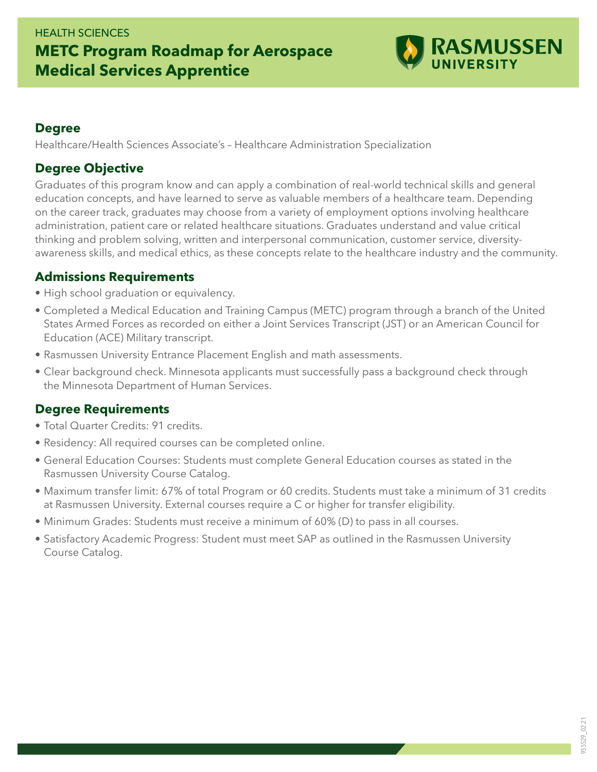## HEALTH SCIENCES **METC Program Roadmap for Aerospace Medical Services Apprentice**



#### **Degree**

Healthcare/Health Sciences Associate's – Healthcare Administration Specialization

#### **Degree Objective**

Graduates of this program know and can apply a combination of real-world technical skills and general education concepts, and have learned to serve as valuable members of a healthcare team. Depending on the career track, graduates may choose from a variety of employment options involving healthcare administration, patient care or related healthcare situations. Graduates understand and value critical thinking and problem solving, written and interpersonal communication, customer service, diversityawareness skills, and medical ethics, as these concepts relate to the healthcare industry and the community.

#### **Admissions Requirements**

- High school graduation or equivalency.
- Completed a Medical Education and Training Campus (METC) program through a branch of the United States Armed Forces as recorded on either a Joint Services Transcript (JST) or an American Council for Education (ACE) Military transcript.
- Rasmussen University Entrance Placement English and math assessments.
- Clear background check. Minnesota applicants must successfully pass a background check through the Minnesota Department of Human Services.

### **Degree Requirements**

- Total Quarter Credits: 91 credits.
- Residency: All required courses can be completed online.
- General Education Courses: Students must complete General Education courses as stated in the Rasmussen University Course Catalog.
- Maximum transfer limit: 67% of total Program or 60 credits. Students must take a minimum of 31 credits at Rasmussen University. External courses require a C or higher for transfer eligibility.
- Minimum Grades: Students must receive a minimum of 60% (D) to pass in all courses.
- Satisfactory Academic Progress: Student must meet SAP as outlined in the Rasmussen University Course Catalog.